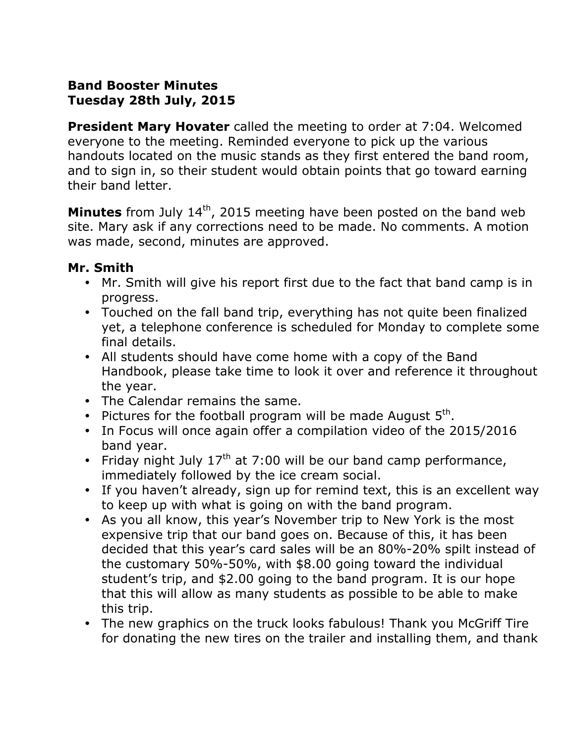# **Band Booster Minutes Tuesday 28th July, 2015**

**President Mary Hovater** called the meeting to order at 7:04. Welcomed everyone to the meeting. Reminded everyone to pick up the various handouts located on the music stands as they first entered the band room, and to sign in, so their student would obtain points that go toward earning their band letter.

**Minutes** from July 14<sup>th</sup>, 2015 meeting have been posted on the band web site. Mary ask if any corrections need to be made. No comments. A motion was made, second, minutes are approved.

#### **Mr. Smith**

- Mr. Smith will give his report first due to the fact that band camp is in progress.
- Touched on the fall band trip, everything has not quite been finalized yet, a telephone conference is scheduled for Monday to complete some final details.
- ! All students should have come home with a copy of the Band Handbook, please take time to look it over and reference it throughout the year.
- The Calendar remains the same.
- Pictures for the football program will be made August  $5<sup>tn</sup>$ .
- In Focus will once again offer a compilation video of the 2015/2016 band year.
- Friday night July  $17<sup>th</sup>$  at 7:00 will be our band camp performance, immediately followed by the ice cream social.
- ! If you haven't already, sign up for remind text, this is an excellent way to keep up with what is going on with the band program.
- ! As you all know, this year's November trip to New York is the most expensive trip that our band goes on. Because of this, it has been decided that this year's card sales will be an 80%-20% spilt instead of the customary 50%-50%, with \$8.00 going toward the individual student's trip, and \$2.00 going to the band program. It is our hope that this will allow as many students as possible to be able to make this trip.
- The new graphics on the truck looks fabulous! Thank you McGriff Tire for donating the new tires on the trailer and installing them, and thank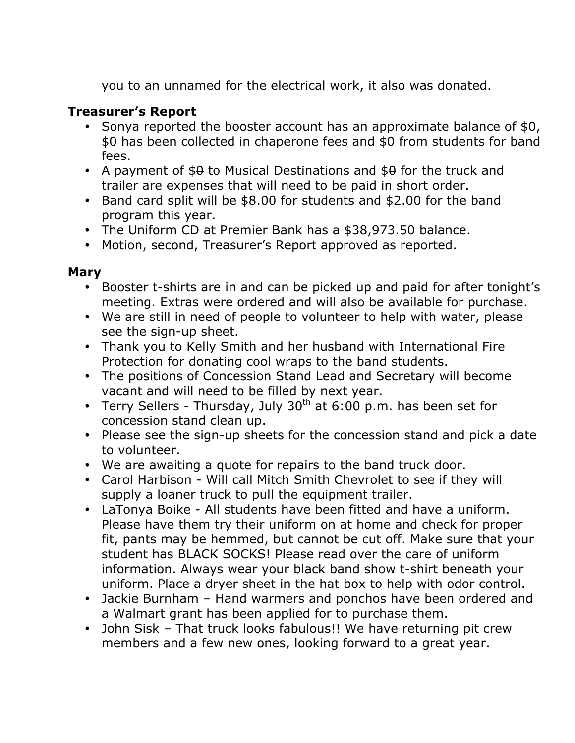you to an unnamed for the electrical work, it also was donated.

# **Treasurer's Report**

- Sonya reported the booster account has an approximate balance of  $$0,$  $$9$  has been collected in chaperone fees and  $$9$  from students for band fees.
- A payment of  $$9$  to Musical Destinations and  $$9$  for the truck and trailer are expenses that will need to be paid in short order.
- ! Band card split will be \$8.00 for students and \$2.00 for the band program this year.
- The Uniform CD at Premier Bank has a \$38,973.50 balance.
- ! Motion, second, Treasurer's Report approved as reported.

### **Mary**

- Booster t-shirts are in and can be picked up and paid for after tonight's meeting. Extras were ordered and will also be available for purchase.
- We are still in need of people to volunteer to help with water, please see the sign-up sheet.
- ! Thank you to Kelly Smith and her husband with International Fire Protection for donating cool wraps to the band students.
- ! The positions of Concession Stand Lead and Secretary will become vacant and will need to be filled by next year.
- Terry Sellers Thursday, July  $30<sup>th</sup>$  at 6:00 p.m. has been set for concession stand clean up.
- ! Please see the sign-up sheets for the concession stand and pick a date to volunteer.
- . We are awaiting a quote for repairs to the band truck door.
- ! Carol Harbison Will call Mitch Smith Chevrolet to see if they will supply a loaner truck to pull the equipment trailer.
- LaTonya Boike All students have been fitted and have a uniform. Please have them try their uniform on at home and check for proper fit, pants may be hemmed, but cannot be cut off. Make sure that your student has BLACK SOCKS! Please read over the care of uniform information. Always wear your black band show t-shirt beneath your uniform. Place a dryer sheet in the hat box to help with odor control.
- Jackie Burnham Hand warmers and ponchos have been ordered and a Walmart grant has been applied for to purchase them.
- John Sisk That truck looks fabulous!! We have returning pit crew members and a few new ones, looking forward to a great year.